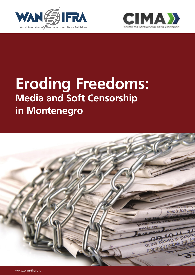



# **Eroding Freedoms: Media and Soft Censorship in Montenegro**

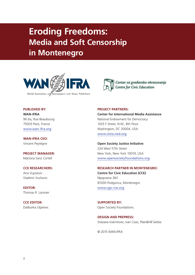### **Eroding Freedoms: Media and Soft Censorship in Montenegro**





**PUBLISHED BY: WAN-IFRA** 96 bis, Rue Beaubourg 75003 Paris, France www.wan-ifra.org

**WAN-IFRA CEO:** Vincent Peyrègne

**PROJECT MANAGER:** Mariona Sanz Cortell

**CCE RESEARCHERS:** Ana Vujosevic Vladimir Vuckovic

**EDITOR:** Thomas R. Lansner

**CCE EDITOR:** Daliborka Uljarevic

#### **PROJECT PARTNERS:**

**Center for International Media Assistance** National Endowment for Democracy 1025 F Street, N.W., 8th Floor Washington, DC 20004, USA www.cima.ned.org

**Open Society Justice Initiative** 224 West 57th Street New York, New York 10019, USA www.opensocietyfoundations.org

#### **RESEARCH PARTNER IN MONTENEGRO:**

**Centre for Civic Education (CCE)** Njegoseva 36/I 81000 Podgorica, Montenegro www.cgo-cce.org

**SUPPORTED BY:** Open Society Foundations

**DESIGN AND PREPRESS:** Snezana Vukmirovic, Ivan Cosic, Plain&Hill Serbia

© 2015 WAN-IFRA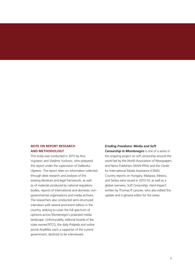#### **Note on Report Research and Methodology**

This study was conducted in 2015 by Ana Vujosevic and Vladimir Vuckovic, who prepared this report under the supervision of Daliborka Uljarevic. The report relies on information collected through desk research and analyses of the existing literature and legal framework, as well as of materials produced by national regulatory bodies, reports of international and domestic nongovernmental organisations and media archives. The researchers also conducted semi-structured interviews with several prominent editors in the country, seeking to cover the full spectrum of opinions across Montenegro's polarized media landscape. Unfortunately, editorial boards of the state-owned RTCG, the daily *Pobjeda* and online portal *Analitika,* each a supporter of the current government, declined to be interviewed.

#### *Eroding Freedoms: Media and Soft*

*Censorship in Montenegro* is one of a series in the ongoing project on soft censorship around the world led by the World Association of Newspapers and News Publishers (WAN-IFRA) and the Center for International Media Assistance (CIMA). Country reports on Hungary, Malaysia, Mexico, and Serbia were issued in 2013-14, as well as a global overview, *Soft Censorship, Hard Impact*<sup>1</sup> , written by Thomas R Lansner, who also edited this update and is general editor for the series.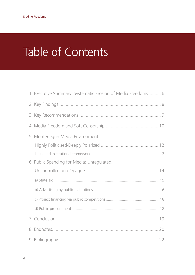# Table of Contents

| 1. Executive Summary: Systematic Erosion of Media Freedoms 6 |  |
|--------------------------------------------------------------|--|
|                                                              |  |
|                                                              |  |
|                                                              |  |
| 5. Montenegrin Media Environment:                            |  |
|                                                              |  |
|                                                              |  |
| 6. Public Spending for Media: Unregulated,                   |  |
|                                                              |  |
|                                                              |  |
|                                                              |  |
|                                                              |  |
|                                                              |  |
|                                                              |  |
|                                                              |  |
|                                                              |  |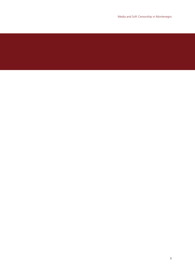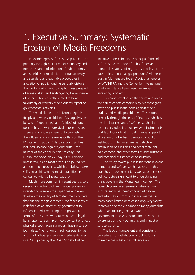### 1. Executive Summary: Systematic Erosion of Media Freedoms

In Montenegro, soft censorship is exercised primarily through politicised, discretionary and non-transparent distribution of public money and subsidies to media. Lack of transparency and standard and equitable procedures in allocation of public funding seriously distorts the media market, improving business prospects of some outlets and endangering the existence of others. This is directly related to how favourably or critically media outlets report on governmental activities.

The media landscape in Montenegro is deeply and widely politicised. A sharp division between "supporters" and "critics" of state policies has grown more vivid in recent years. There are on-going attempts to diminish the influence of some media outlets on the Montenegrin public. "Hard censorship" has included violence against journalists—the murder of the editor-in-chief of daily *Dan,* Dusko Jovanovic, on 27 May 2004, remains unresolved, as do most attacks on journalists and on media property, which doubtless evokes self-censorship among media practitioners concerned with self-preservation.2

Much more common in recent years is soft censorship: indirect, often financial pressures, intended to weaken the capacities and even threaten the viability of targeted media outlets that criticize the government. "Soft censorship" is defined as an attempt by government to influence media reporting through various forms of pressures, without recourse to legal bans, open censorship of news content or direct physical attacks against media infrastructure or journalists. The notion of "soft censorship" as a form of official pressure on media is detailed in a 2005 paper by the Open Society Justice

Initiative. It describes three principal forms of soft censorship: abuse of public funds and monopolies, abuse of regulatory and inspection authorities, and paralegal pressures.<sup>3</sup> All these exist in Montenegro today. Additional reports by WAN-IFRA and the Center for International Media Assistance have raised awareness of this escalating problem.4

This paper catalogues the forms and maps the extent of soft censorship by Montenegro's state and public institutions against media outlets and media practitioners. This is done primarily through the lens of finances, which is the dominant means of soft censorship in the country. Included is an overview of instruments that facilitate or limit official financial support: allocation of advertising services by public institutions to favoured media; selective distribution of subsidies and other state aid; paid content; and other forms of administrative and technical assistance or obstruction.

The study covers public institutions relevant to media and soft censorship across the three branches of government, as well as other sociopolitical actors significant to understanding this problem in the Montenegrin context. The research team faced several challenges; no such research has been conducted before, and information from public sources was in many cases limited or released only very slowly. Moreover, the topic is taboo to many journalists who fear criticizing media owners or the government, and who sometimes have scant awareness of the mechanisms and impact of soft censorship.

The lack of transparent and consistent procedures for distribution of public funds to media has substantial influence on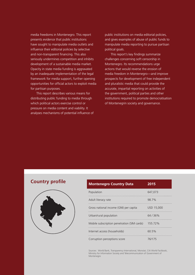media freedoms in Montenegro. This report presents evidence that public institutions have sought to manipulate media outlets and influence their editorial policies by selective and non-transparent financing. This also seriously undermines competition and inhibits development of a sustainable media market. Opacity in state media funding is aggravated by an inadequate implementation of the legal framework for media support, further opening opportunities for official actors to exploit media for partisan purposes.

This report describes various means for distributing public funding to media through which political actors exercise control or pressure on media content and viability. It analyses mechanisms of potential influence of public institutions on media editorial policies, and gives examples of abuse of public funds to manipulate media reporting to pursue partisan political goals.

This report's key findings summarize challenges concerning soft censorship in Montenegro. Its recommendations urge actions that would reverse the erosion of media freedom in Montenegro—and improve prospects for development of free independent and pluralistic media that could provide the accurate, impartial reporting on activities of the government, political parties and other institutions required to promote democratisation of Montenegrin society and governance.

#### **Country profile**



| <b>Montenegro Country Data</b>              | 2015       |
|---------------------------------------------|------------|
| Population                                  | 647,073    |
| Adult literacy rate                         | 98.7%      |
| Gross national income (GNI) per capita      | USD 15,000 |
| Urban/rural population                      | 64/36%     |
| Mobile subscription penetration (SIM cards) | 155.72%    |
| Internet access (households)                | 60.5%      |
| Corruption perceptions score                | 76/175     |

Sources: World Bank, Transparency International, Monstat, CIA World Factbook, Ministry for Information Society and Telecommunication of Government of Montenegro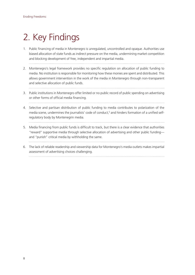## 2. Key Findings

1. Public financing of media in Montenegro is unregulated, uncontrolled and opaque. Authorities use biased allocation of state funds as indirect pressure on the media, undermining market competition and blocking development of free, independent and impartial media.

2. Montenegro's legal framework provides no specific regulation on allocation of public funding to media. No institution is responsible for monitoring how these monies are spent and distributed. This allows government intervention in the work of the media in Montenegro through non-transparent and selective allocation of public funds.

3. Public institutions in Montenegro offer limited or no public record of public spending on advertising or other forms of official media financing.

- 4. Selective and partisan distribution of public funding to media contributes to polarization of the media scene, undermines the journalists' code of conduct,<sup>5</sup> and hinders formation of a unified selfregulatory body by Montenegrin media.
- 5. Media financing from public funds is difficult to track, but there is a clear evidence that authorities "reward" supportive media through selective allocation of advertising and other public funding and "punish" critical media by withholding the same.
- 6. The lack of reliable readership and viewership data for Montenegro's media outlets makes impartial assessment of advertising choices challenging.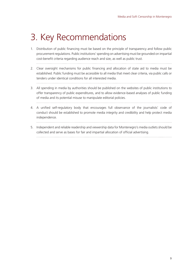### 3. Key Recommendations

1. Distribution of public financing must be based on the principle of transparency and follow public procurement regulations. Public institutions' spending on advertising must be grounded on impartial cost-benefit criteria regarding audience reach and size, as well as public trust.

2. Clear oversight mechanisms for public financing and allocation of state aid to media must be established. Public funding must be accessible to all media that meet clear criteria, via public calls or tenders under identical conditions for all interested media. 

- 3. All spending in media by authorities should be published on the websites of public institutions to offer transparency of public expenditures, and to allow evidence-based analyses of public funding of media and its potential misuse to manipulate editorial policies.
- 4. A unified self-regulatory body that encourages full observance of the journalists' code of conduct should be established to promote media integrity and credibility and help protect media independence.

5. Independent and reliable readership and viewership data for Montenegro's media outlets should be collected and serve as bases for fair and impartial allocation of official advertising.

**9**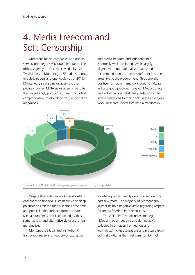## 4. Media Freedom and Soft Censorship

Numerous media companies and outlets serve Montenegro's 647,000 inhabitants. The official Agency for Electronic Media lists 21 TV channels in Montenegro, 55 radio stations, five daily papers and one weekly as of 2015.<sup>6</sup> Montenegro's single news agency is the privately owned MINA news agency. Despite their increasingly popularity, there is no official comprehensive list of web portals, or of online magazines.

and media freedom and independence is formally well developed. While largely aligned with international standards and recommendations, it remains deficient in some areas like public procurement. This generally positive normative framework does not always indicate good practice, however. Media outlets and individual journalists frequently encounter severe limitations to their rights in their everyday work. Research shows that media freedom in





Despite this wide range of media outlets, challenges to financial sustainability and deep polarisation limit the media sector's economic and political independence from the state. Media pluralism is also constrained by these same factors, and alternative views are often marginalized.

Montenegro's legal and institutional framework regarding freedom of expression

Montenegro has steadily deteriorated over the past few years. The majority of Montenegrin journalists hold negative views regarding respect for media freedom in their country.

The 2011 OSCE report on Montenegro, "Media, media freedoms and democracy", collected information from editors and journalists.<sup>7</sup> It cites accusations and pressure from political parties as the most common form of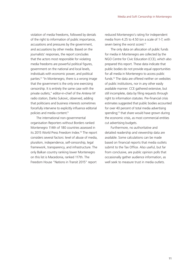violation of media freedoms, followed by denials of the right to information of public importance, accusations and pressures by the government, and accusations by other media. Based on the journalists' responses, the report concludes that the actors most responsible for violating media freedoms are powerful political figures, government on the national and local levels, individuals with economic power, and political parties.8 "In Montenegro, there is a wrong image that the government is the only one exercising censorship. It is entirely the same case with the private outlets," editor-in-chief of the *Antena M* radio station, Darko Sukovic, observed, adding that politicians and business interests sometimes forcefully intervene to explicitly influence editorial policies and media content.9

The international non-governmental organisation Reporters without Borders ranked Montenegro 114th of 180 countries assessed in its 2015 World Press Freedom Index.<sup>10</sup> The report considers several factors: level of abuse of media, pluralism, independence, self-censorship, legal framework, transparency, and infrastructure. The only Balkan country ranking lower Montenegro on this list is Macedonia, ranked 117th. The Freedom House "Nations in Transit 2015" report

reduced Montenegro's rating for independent media from 4.25 to 4.50 (on a scale of 1-7, with seven being the worst score).<sup>11</sup>

The only data on allocation of public funds for media in Montenegro are collected by the NGO Centre for Civic Education (CCE), which also prepared this report. These data indicate that public bodies do not provide equal opportunities for all media in Montenegro to access public funds.12 The data are offered neither on websites of public institutions, nor in any other easily available manner. CCE gathered extensive, but still incomplete, data by filing requests through right to information statutes. Pre-financial crisis estimates suggested that public bodies accounted for over 40 percent of total media advertising spending;<sup>13</sup> that share would have grown during the economic crisis, as most commercial entities cut advertising budgets.

Furthermore, no authoritative and detailed readership and viewership data are available. Some calculations can be made based on financial reports that media outlets submit to the Tax Office. Also useful, but far from conclusive, are public opinion polls that occasionally gather audience information, as well seek to measure trust in media outlets.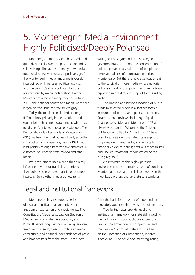## 5. Montenegrin Media Environment: Highly Politicised/Deeply Polarised

Montenegro's media scene has developed quite dynamically over the past decade and is still evolving. The launch of many new media outlets with new voices was a positive sign. But the Montenegrin media landscape is closely intertwined with partisan political activity, and the country's sharp political divisions are mirrored by media polarisation. Before Montenegro achieved independence in June 2006, the national debate and media were split largely on the issue of state sovereignty.

Today, the media scene is divided along different lines, primarily into those critical and supportive of the current government, which has ruled since Montenegro regained statehood. The Democratic Party of Socialists of Montenegro (DPS) has been the most powerful party since the introduction of multi-party system in 1991,<sup>14</sup> at least partially through its formidable and carefully cultivated influence on state-owned and other media.

Pro-government media are either directly influenced by the ruling circles or defend their policies to promote financial or business interests. Some other media outlets remain

willing to investigate and expose alleged governmental corruption, the concentration of political power in a small circle of people, and perceived failures of democratic practices in Montenegro. But there is now a serious threat to the survival of those media whose editorial policy is critical of the government, and whose reporting might diminish support for the ruling party.

The uneven and biased allocation of public funds to selected media is a soft censorship instrument of particular impact and concern. Several annual reviews, including "Equal Chances to All Media in Montenegro?"15 and "How Much and to Whom do the Citizens of Montenegro Pay for Advertising?"16 have unambiguously demonstrated state support for pro-government media, and efforts to financially exhaust, through various mechanisms and uneven treatment, media critical of the ruling regime.17

A first victim of this highly partisan environment is the journalists' code of conduct. Montenegrin media often fail to meet even the most basic professional and ethical standards.

### Legal and institutional framework

Montenegro has instituted a series of legal and institutional guarantees for freedom of expression and media rights. The Constitution, Media Law, Law on Electronic Media, Law on Digital Broadcasting, and Public Broadcasting Services Law all guarantee freedom of speech, freedom to launch media enterprises, and editorial independence of press and broadcasters from the state. These laws

form the basis for the work of independent regulatory agencies that oversee media matters.

Two further laws provide legal and institutional framework for state aid, including media financing from public resources: the Law on the Protection of Competition, and the Law on Control of State Aid. The Law on the Protection of Competition, in force since 2012, is the basic document regulating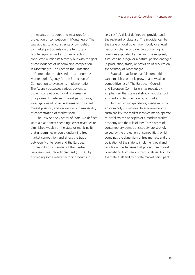the means, procedures and measures for the protection of competition in Montenegro. The Law applies to all constraints of competition by market participants on the territory of Montenegro, as well as to similar actions conducted outside its territory but with the goal or consequence of undermining competition in Montenegro. The Law on the Protection of Competition established the autonomous Montenegrin Agency for the Protection of Competition to oversee its implementation. The Agency possesses various powers to protect competition, including assessment of agreements between market participants, investigations of possible abuses of dominant market position, and evaluation of permissibility of concentration of market share.

The Law on the Control of State Aid defines state aid as "direct spending, lesser revenues or diminished wealth of the state or municipality that undermines or could undermine free market competition and affect the trade between Montenegro and the European Community or a member of the Central European Free Trade Agreement (CEFTA), by privileging some market actors, products, or

services". Article 3 defines the provider and the recipient of state aid. The provider can be the state or local government body or a legal person in charge of collecting or managing revenues stipulated by the law. The recipient, in turn, can be a legal or a natural person engaged in production, trade, or provision of services on the territory of Montenegro.

State aid that fosters unfair competition can diminish economic growth and weaken competitiveness.18 The European Council and European Commission has repeatedly emphasised that state aid should not obstruct efficient and fair functioning of markets.

To maintain independence, media must be economically sustainable. To ensure economic sustainability, the market in which media operate must follow the principles of a modern market economy and the rule of law. These bases of contemporary democratic society are strongly served by the protection of competition, which combines the dynamism of free markets and the obligation of the state to implement legal and regulatory mechanisms that protect free market competition from various form of abuse, both by the state itself and by private market participants.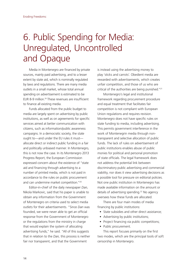## 6. Public Spending for Media: Unregulated, Uncontrolled and Opaque

Media in Montenegro are financed by private sources, mainly paid advertising, and to a lesser extent by state aid, which is nominally regulated by laws and regulations. There are many media outlets in a small market, whose total annual spending on advertisement is estimated to be EUR 8-9 million.19 These revenues are insufficient to finance all existing media.

Funds allocated from the public budget to media are largely spent on advertising by public institutions, as well as on agreements for specific services aimed at better communication with citizens, such as information/public awareness campaigns. In a democratic society, the state ought to—and under the EU rules it must allocate direct or indirect public funding in a fair and politically unbiased manner. In Montenegro, this is not now the case. In its Montenegro 2013 Progress Report, the European Commission expressed concern about the existence of "state aid and financing through advertising to a number of printed media, which is not paid in accordance to the rules on public procurement and can undermine market competition."20

Editor-in-chief of the daily newspaper *Dan,* Nikola Markovic, said that his paper is unable to obtain any information from the Government of Montenegro on criteria used to select media outlets for their advertisements. "Since *Dan* was founded, we were never able to get an official response from the Government of Montenegro or the regulations from the ministry in charge that would explain the system of allocating advertising funds," he said. "All of this suggests that in relation to the *Dan,* this process is neither fair nor transparent, and that the Government

is instead using the advertising money to play 'sticks and carrots'. Obedient media are rewarded with advertisements, which creates unfair competition, and those of us who are critical of the authorities are being punished."21

Montenegro's legal and institutional framework regarding procurement procedure and equal treatment that facilitates fair competition is not compliant with European Union regulations and requires revision. Montenegro does not have specific rules on state funding to media, including advertising. This permits government interference in the work of Montenegrin media through nontransparent and selective allocation of public funds. The lack of rules on advertisement of public institutions enables abuse of public monies for political and personal promotion of state officials. The legal framework does not address the potential link between discriminatory public advertising and commercial viability, nor does it view advertising decisions as a possible tool for pressure on editorial policies. Not one public institution in Montenegro has made available information on the amount or details of advertising spending.<sup>22</sup> No agency oversees how these funds are allocated.

There are four main modes of media financing by public institutions:

- State subsidies and other direct assistance:
- Advertising by public institutions;
- Project financing via public competitions;
- Public procurement.

This report focuses primarily on the first two modes, which are the principal tools of soft censorship in Montenegro.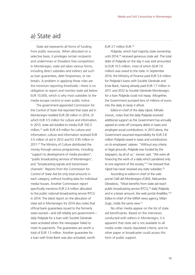#### a) State aid

State aid represents all forms of funding from public resources. When allocated on a selective basis, it privileges certain recipients and undermines or threatens free competition. In Montenegro, state aid takes various forms, including direct subsidies and indirect aid such as loan guarantees, debt forgiveness, or tax breaks. A problem in applying these rules are the minimum reporting thresholds—there is no obligation to report and monitor state aid below EUR 10,000, which is why most subsidies to the media escape control or even public notice.

The government-appointed Commission for the Control of State Aid reported that state aid in Montenegro totalled EUR 28 million in 2014, of which EUR 3.5 million for culture and information. In 2013, state aid totalled to media EUR 100.3 million,23 with EUR 4.9 million for culture and information; culture and information received EUR 3.5 million of aid in 2012 and EU 3.95 million in 2011.24 The Ministry of Culture distributed the money through various programmes, including: "support to development of media pluralism", "public broadcasting services of Montenegro", and "broadcasting signals and transmission channels". Reports from the Commission for Control of State Aid list only total amounts in each category, without funding data for individual media houses. Another Commission report specifically mentions EUR 2.4 million allocated to the public national broadcasting service RTCG in 2014. The latest report on the allocation of state aid in Montenegro for 2014 also notes that official bank guarantees issued to the formerly state-owned—and still reliably pro-government daily *Pobjeda* for a loan with Société Générale were activated when the newspaper failed to meet its payments. The guarantees are worth a total of EUR 1.5 million. Another guarantee for a loan with Erste Bank was also activated, worth

EUR 3.7 million EUR.25

*Pobjeda,* which had majority state ownership until 2014,26 received generous state aid. The total debt of *Pobjeda* on the day it was sold amounted to EUR 10.5 million, most of which (EUR 7.6 million) was owed to the state. In September 2014, the Ministry of Finance paid EUR 5.6 million for *Pobjeda'*s loans with Société Générale and Erste Bank, having already paid EUR 1.7 million in 2011 and 2012 to Société Générale Montenegro for a loan *Pobjeda* could not repay. Altogether, the Government pumped tens of millions of euros into the daily to keep it afloat.

Editor-in-chief of the daily *Vijesti,* Mihailo Jovovic, notes that the daily *Pobjeda* received additional support as the Government has annually agreed to write off company debts in taxes and employee social contributions. In 2013 alone, the Government assumed responsibility for EUR 2.8 million *Pobjeda* owed in taxes and contributions on its employees' salaries. "Without any criteria or legal grounds, *Pobjeda* was funded by the taxpayers, by all of us," Jovovic said. "We were all financing the work of a daily which pandered only to one segment of the society."27 He stressed that Vijesti has never received any state subsidies.<sup>28</sup>

According to editor-in-chief of the web portal *Café del Montenegro (CdM),* Aleksandra Obradovic, "Most benefits from state aid reach public broadcasting service RTCG,29 daily *Pobjeda,* and in a lesser amount, the web portal *Analitika.*"30 Editor-in-chief of the *MINA* news agency, Milan Zugic, holds the same view.<sup>31</sup>

No other media appear on the list of state aid beneficiaries. Based on the interviews conducted with editors in Montenegro, it is apparent that state aid is not available to all media under clearly stipulated criteria, and no other paper or broadcaster could access this form of public support.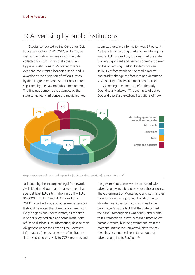### b) Advertising by public institutions

Studies conducted by the Centre for Civic Education (CCE) in 2011, 2012, and 2013, as well as the preliminary analysis of the data collected for 2014, show that advertising by public institutions in Montenegro lacks clear and consistent allocation criteria, and is awarded at the discretion of officials, often by direct agreement and without procedures stipulated by the Law on Public Procurement. The findings demonstrate attempts by the state to indirectly influence the media market, submitted relevant information was 57 percent. As the total advertising market in Montenegro is around EUR 8-9 million, it is clear that the state is a very significant and perhaps dominant player on the advertising market. Its decisions can seriously affect trends on the media market and quickly change the fortunes and determine sustainability of individual media enterprises.

According to editor-in-chief of the daily *Dan,* Nikola Markovic, "The examples of dailies *Dan* and *Vijesti* are excellent illustrations of how



Graph: Percentage of state media spending [excluding direct subsidies] by sector for 2013<sup>35</sup>

facilitated by the incomplete legal framework. Available data show that the government has spent at least EUR 2.64 million in 2011,<sup>32</sup> EUR 852,000 in 2012,<sup>33</sup> and EUR 2.2 million in 2013<sup>34</sup> on advertising and other media services. It should be noted that these figures are most likely a significant underestimate, as the data is not publicly available and some institutions refuse to disclose such information, despite their obligations under the Law on Free Access to Information. The response rate of institutions that responded positively to CCE's requests and

the government selects whom to reward with advertising revenue based on your editorial policy. The Government of Montenegro and its ministries have for a long time justified their decision to allocate most advertising commissions to the daily *Pobjeda* by the fact that the state owned the paper. Although this was equally detrimental to fair competition, it was perhaps a more or less passable excuse, but the government lost it the moment *Pobjeda* was privatized. Nevertheless, there has been no decline in the amount of advertising going to *Pobjeda.*"36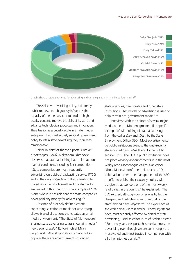

Graph: Share of state payments for advertising and campaigns to print media outlets in 2013<sup>37</sup>

This selective advertising policy, paid for by public money, unambiguously influences the capacity of the media sector to produce high quality content, improve the skills of its staff, and advance technological processes and innovation. The situation is especially acute in smaller media enterprises that must actively support government policy to retain state advertising they require to remain viable.

Editor-in-chief of the web portal *Café del Montenegro (CdM),* Aleksandra Obradovic, observes that state adertising has an impact on market conditions, including fair competition. "State companies are most frequently advertising on public broadcasting service RTCG and in the daily *Pobjeda* and that is leading to the situation in which small and private media are limited in this financing. The example of *CdM* is one where it is visible that the state companies never paid any money for advertising."38

Absence of precisely defined criteria concerning selection of media for advertising allows biased allocations that creates an unfair media environment. "The State of Montenegro is using state advertising to assist certain media," news agency *MINA* Editor-in-chief Milan Zugic, said. "At web portals which are not so popular there are advertisements of certain

state agencies, directorates and other state institutions. That model of advertising is used to help certain pro-government media."39

Interviews with the editors of several major media outlets in Montenegro identified specific example of withholding of state advertising from the dailies *Dan* and *Vijesti* by the State Employment Office (SEO). Most advertisements by public institutions went to the until-recently state-owned daily *Pobjeda* and to the public service RTCG. The SEO, a public institution, does not place vacancy announcements in in the most widely read Montenegrin dailies. *Dan* editor Nikola Markovic confirmed this practice. "Our editorial board sent the management of the SEO an offer to publish their vacancy notices with us, given that we were one of the most widely read dailies in the country," he explained. "The SEO refused, although our offer was by far the cheapest and definitely lower than that of the state-owned daily *Pobjeda.*"40 The experience of the web portal *Vijesti* is similar. "Portal *Vijesti* has been most seriously affected by denial of state advertising," said its editor-in-chief, Srdan Kosovic. "For three years, this portal has received no state advertising even though we are convincingly the most visited and most trusted in comparison with all other Internet portals."41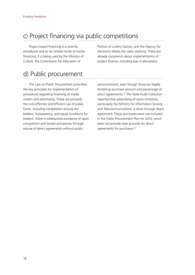### c) Project financing via public competitions

Project based financing is a recently introduced and so far limited mode of media financing. It is being used by the Ministry of Culture, the Commission for Allocation of

Portion of Lottery Games, and the Agency for Electronic Media (for radio stations). There are already complaints about implementation of project finance, including bias in allocations.

#### d) Public procurement

The Law on Public Procurement prescribes the key principles for implementation of procedures regarding financing of media outlets and advertising. These are primarily the cost-effective and efficient use of public funds, including competition among the bidders, transparency, and equal conditions for bidders. There is widespread avoidance of open competition and tender procedures through misuse of direct agreements without public

announcement, even though these are legally limited by purchase amount and percentage of direct agreements.42 The State Audit Institution reported that advertising of some ministries, particularly the Ministry for Information Society and Telecommunications, is done through direct agreement. These purchases were not included in the Public Procurement Plan for 2013, which does not provide clear grounds for direct agreements for purchases.<sup>43</sup>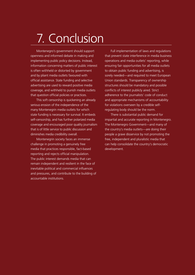# 7. Conclusion

Montenegro's government should support openness and informed debate in making and implementing public policy decisions. Instead, information concerning matters of public interest is often withheld or distorted by government and by pliant media outlets favoured with official assistance. State funding and selective advertising are used to reward positive media coverage, and withheld to punish media outlets that question official policies or practices.

This soft censorship is quickening an already serious erosion of the independence of the many Montenegrin media outlets for which state funding is necessary for survival. It embeds self-censorship, and has further polarized media coverage and encouraged poor quality journalism that is of little service to public discussion and diminishes media credibility overall.

Montenegrin society faces an immense challenge in promoting a genuinely free media that practices responsible, fact-based reporting and rejects official manipulation. The public interest demands media that can remain independent and resilient in the face of inevitable political and commercial influences and pressures, and contribute to the building of accountable institutions.

Full implementation of laws and regulations that prevent state interference in media business operations and media outlets' reporting, while ensuring fair opportunities for all media outlets to obtain public funding and advertising, is sorely needed—and required to meet European Union standards. Transparency of ownership structures should be mandatory and possible conflicts of interest publicly aired. Strict adherence to the journalists' code of conduct and appropriate mechanisms of accountability for violations overseen by a credible selfregulating body should be the norm.

There is substantial public demand for impartial and accurate reporting in Montenegro. The Montenegro Government—and many of the country's media outlets—are doing their people a grave disservice by not promoting the free, independent and pluralistic media that can help consolidate the country's democratic development.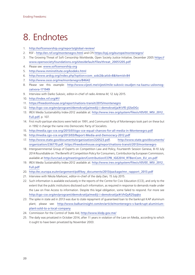### 8. Endnotes

- 1. http://softcensorship.org/reports/global-review/
- 2. RSF http://en.rsf.org/montenegro.html and CPJ https://cpj.org/europe/montenegro/
- 3. The Growing Threat of Soft Censorship Worldwide, Open Society Justice Initiative, December 2005 https:// www.opensocietyfoundations.org/sites/default/files/threat\_20051205.pdf
- 4. Please see: www.softcensorship.org
- 5. http://www.mminstitute.org/kodeks.html
- 6. http://www.ardcg.org/index.php?option=com\_sobi2&catid=8&Itemid=84
- 7. http://www.osce.org/me/montenegro/84642
- 8. Please see this example: http://www.vijesti.me/vijesti/mile-sukovic-osudjen-na-kaznu-uslovnogzatvora-171949
- 9. Interview with Darko Sukovic, editor-in-chief of radio *Antena M,* 12 July 2015.
- 10. http://index.rsf.org/#!/
- 11. https://freedomhouse.org/report/nations-transit/2015/montenegro
- 12. http://cgo-cce.org/en/programi/demokratija/mediji-i-demokratija/#.VfE-jGSeDGc
- 13. IREX Media Sustainability Index-2012 available at: http://www.irex.org/system/files/u105/EE\_MSI\_2012\_ Full.pdf, p. 107.
- 14. First multi-partisan elections were held on 1991, and Communist Party of Montenegro took part on these but in 1992 it change the name into Democratic Party of Socialists.
- 15. http://media.cgo-cce.org/2015/01/cgo-cce-equal-chances-for-all-media-in-Montenegro.pdf
- 16. http://media.cgo-cce.org/2013/03/Report-Media-and-Democracy-2012.pdf
- 17. http://www.state.gov/documents/organization/220523.pdf, http://www.state.gov/documents/ organization/236770.pdf, https://freedomhouse.org/report/nations-transit/2013/montenegro
- 18. Intergovernmental Group of Experts on Competition Law and Policy, Fourteenth Session Geneva, 8-10 July 2014 Roundtable on: The Benefit of Competition Policy for Consumers, Contribution by European Commission, available at http://unctad.org/meetings/en/Contribution/CCPB\_IGE2014\_RTBenCom\_EU\_en.pdf
- 19. IREX Media Sustainability Index-2012 available at: http://www.irex.org/system/files/u105/EE\_MSI\_2012\_ Full.pdf
- 20. http://ec.europa.eu/enlargement/pdf/key\_documents/2013/package/mn\_rapport\_2013.pdf
- 21. Interview with Nikola Markovic, editor-in-chief of the daily *Dan,* 15 July 2015.
- 22. Such information is available exclusively in the reports of the Centre for Civic Education (CCE), and only to the extent that the public institutions disclosed such information, as required in response to demands made under the Law on Free Access to information. Despite this legal obligation, some failed to respond. For more see http://cgo-cce.org/en/programi/demokratija/mediji-i-demokratija/#.VhQyR2Sqqko
- 23. The spike in state aid in 2013 was due to state repayment of guaranteed loan to the bankrupt KAP aluminum plant; please see: http://www.balkaninsight.com/en/article/montenegro-s-bankrupt-aluminiumplant-sold-to-a-local-company
- 24. Commission for the Control of State Aid, http://www.kkdp.gov.me/
- 25. The daily was privatized in October 2014, after 11 years in violation of the Law on Media, according to which it ought to have been privatized by November 2003.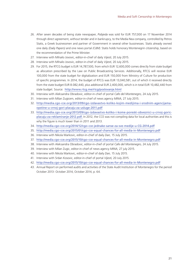- 26. After seven decades of being state newspaper, *Pobjeda* was sold for EUR 757,000 on 17 November 2014 through direct agreement, without tender and in bankrupcy, to the Media Nea company, controlled by Petros Statis, a Greek businessmen and partner of Government in several other bussinesses. Statis already owned one daily *(Daily Papers)* and one news portal *(CdM).* Statis holds honorary Montenegrin citizenship, based on the recommendation of the Prime Minister.
- 27. Interview with Mihailo Jovovic, editor-in-chief of daily *Vijesti,* 20 July 2015.
- 28. Interview with Mihailo Jovovic, editor-in-chief of daily *Vijesti,* 20 July 2015.
- 29. For 2015, the RTCG budget is EUR 14,787,500, from which EUR 12,600,000 comes directly from state budget as allocation prescribed by the Law on Public Broadcasting Services. Additionally, RTCG will receive EUR 100,000 from the state budget for digitalization and EUR 150,000 from Ministry of Culture for production of specific programmes. In 2014, the budget of RTCG was EUR 13,040,581, out of which it received directly from the state budget EUR 8.082,440, plus additional EUR 2,400,000, which is in total EUR 10,482,440 from state budget. Source: http://www.rtcg.me/rtcg/poslovanje.html
- 30. Interview with Aleksandra Obradovic, editor-in-chief of portal *Cafe del Montenegro,* 24 July 2015.
- 31. Interview with Milan Zugicem, editor-in-chief of news agency *MINA,* 27 July 2015.
- 32. http://media.cgo-cce.org/2013/09/cgo-izdavastvo-koliko-kojim-medijima-i-srodnim-agencijamaopstine-u-crnoj-gori-placaju-za-usluge-2011.pdf
- 33. http://media.cgo-cce.org/2013/09/cgo-izdavastvo-koliko-i-kome-poreski-obveznici-u-crnoj-goricplacaju-za-reklamiranje-2012.pdf. In 2012, the CCE was not compiling data for local authorities and this is why the figure is much lower than in 2011 and 2013.
- 34. http://media.cgo-cce.org/2014/12/cgo-cce-jednake-sanse-za-sve-medije-u-CG-2014.pdf
- 35. http://media.cgo-cce.org/2015/01/cgo-cce-equal-chances-for-all-media-in-Montenegro.pdf
- 36. Interview with Nikola Markovic, editor-in-chief of daily *Dan,* 15 July 2015.
- 37. http://media.cgo-cce.org/2015/10/cgo-cce-equal-chances-for-all-media-in-Montenegro.pdf
- 38. Interview with Aleksandra Obradovic, editor-in-chief of portal *Cafe del Montenegro,* 24 July 2015.
- 39. Interview with Milan Zugic, editor-in-chief of news agency *MINA,* 27 july 2015.
- 40. Interview with Nikola Markovic, editor-in-chief of daily *Dan,* 15 July 2015.
- 41. Interview with Srdan Kosovic, editor-in-chief of portal *Vijesti,* 20 July 2015.
- 42. http://media.cgo-cce.org/2015/10/cgo-cce-equal-chances-for-all-media-in-Montenegro.pdf
- 43. Annual Report on performed audits and activities of the State Audit Institution of Montenegro for the period October 2013- October 2014, October 2014, p. 64.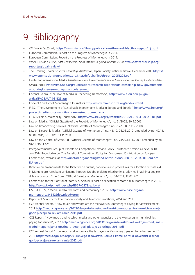## 9. Bibliography

- *• CIA World Factbook,* https://www.cia.gov/library/publications/the-world-factbook/geos/mj.html
- European Commission, Report on the Progress of Montenegro in 2013.
- • European Commission, Report on the Progress of Montenegro in 2014.
- • WAN-IFRA and CIMA, *Soft Censorship, Hard Impact: A global review,* 2014: http://softcensorship.org/ reports/global-review/
- *• The Growing Threat of Soft Censorship Worldwide,* Open Society Justice Initiative, December 2005 https:// www.opensocietyfoundations.org/sites/default/files/threat\_20051205.pdf
- • Center for International Media Assistance, *How Governments around the Globe use Money to Manipulate Media,* 2013. http://cima.ned.org/publications/research-reports/soft-censorship-how-governmentsaround-globe-use-money-manipulate-medi
- • Coronel, Sheila, "The Role of Media in Deepening Democracy", http://www.aiou.edu.pk/gmj/ artical1%28AUT-08%29.asp
- Code of Conduct of Montenegrin Journalists http://www.mminstitute.org/kodeks.html
- • IREX, "The Development of Sustainable Independent Media in Europe and Eurasia", http://www.irex.org/ project/media-sustainability-index-msi-europe-eurasia
- • IREX, Media Sustainability, Index-2012. http://www.irex.org/system/files/u105/EE\_MSI\_2012\_Full.pdf
- • Law on Media, "Official Gazette of the Republic of Montenegro", no. 51/2002, 20.9.2002.
- Law on Broadcasting Services, "Official Gazette of Montenegro", no. 79/2008, 23.12.2008.
- Law on Electronic Media, "Official Gazette of Montenegro", no. 46/10, 06.08.2010, amended by no. 40/11, 08.08.2011, no. 53/11, 11.11.2011.
- Law on the Control of State Aid, "Official Gazette of Montenegro", no. 74/09,13.11.2009, amended by no. 57/11, 30.11.2011.
- Intergovernmental Group of Experts on Competition Law and Policy, Fourteenth Session Geneva, 8-10 July 2014 Roundtable on: The Benefit of Competition Policy for Consumers, Contribution by European Commission, available at http://unctad.org/meetings/en/Contribution/CCPB\_IGE2014\_RTBenCom\_ EU\_en.pdf
- • Directive on amendments to the Directive on criteria, conditions and procedures for allocation of state aid in Montenegro. Uredba o izmjenama i dopuni Uredbe o bližim kriterijumima, uslovima i nacinima dodjele državne pomoci Crne Gore, "Official Gazette of Montenegro", no. 34/2011, 12.07. 2011.
- • Commission for the Control of State Aid, Annual Report on allocation of state aid in Montenegro in 2013. http://www.kkdp.me/index.php?IDSP=217&jezik=lat
- • OSCE-CEDEM, "Media, media freedoms and democracy", 2012. http://www.osce.org/me/ montenegro/84642?download=true
- Reports of Ministry for Information Society and Telecommunications, 2014 and 2013.
- CCE Annual Report, "How much and whom are the taxpayers in Montenegro paying for advertisement", 2011 http://media.cgo-cce.org/2013/09/cgo-izdavastvo-koliko-i-kome-poreski-obveznici-u-crnojgoric-placaju-za-reklamiranje-2011.pdf
- CCE Report. "How much, and to which media and other agencies are the Montenegrin municipalities paying for services", 2012 http://media.cgo-cce.org/2013/09/cgo-izdavastvo-koliko-kojim-medijima-isrodnim-agencijama-opstine-u-crnoj-gori-placaju-za-usluge-2011.pdf
- CCE Annual Report "How much and whom are the taxpayers in Montenegro paying for advertisement", 2013 http://media.cgo-cce.org/2013/09/cgo-izdavastvo-koliko-i-kome-poreski-obveznici-u-crnojgoric-placaju-za-reklamiranje-2012.pdf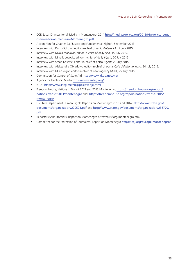- • CCE Equal Chances for all Media in Montenegro, 2014 http://media.cgo-cce.org/2015/01/cgo-cce-equalchances-for-all-media-in-Montenegro.pdf
- Action Plan for Chapter 23, "Justice and Fundamental Rights", September 2013.
- • Interview with Darko Sukovic, editor-in-chief of radio *Antena M,* 12 July 2015.
- Interview with Nikola Markovic, editor-in-chief of daily *Dan*, 15 July 2015.
- Interview with Mihailo Jovovic, editor-in-chief of daily *Vijesti*, 20 July 2015.
- Interview with Srdan Kosovic, editor-in-chief of portal Vijesti, 20 July 2015.
- Interview with Aleksandra Obradovic, editor-in-chief of portal *Cafe del Montenegro*, 24 July 2015.
- Interview with Milan Zugic, editor-in-chief of news agency *MINA*, 27 July 2015.
- Commission for Control of State Aid http://www.kkdp.gov.me/
- Agency for Electronic Media http://www.ardcg.org/
- • RTCG http://www.rtcg.me/rtcg/poslovanje.html
- Freedom House, Nations in Transit 2013 and 2015 Montenegro, https://freedomhouse.org/report/ nations-transit/2013/montenegro and https://freedomhouse.org/report/nations-transit/2015/ montenegro
- • US State Department Human Rights Reports on Montenegro 2013 and 2014, http://www.state.gov/ documents/organization/220523.pdf and http://www.state.gov/documents/organization/236770. pdf
- Reporters Sans Frontiers, Report on Montenegro http://en.rsf.org/montenegro.html
- Committee for the Protection of Journalists, Report on Montenegro https://cpj.org/europe/montenegro/